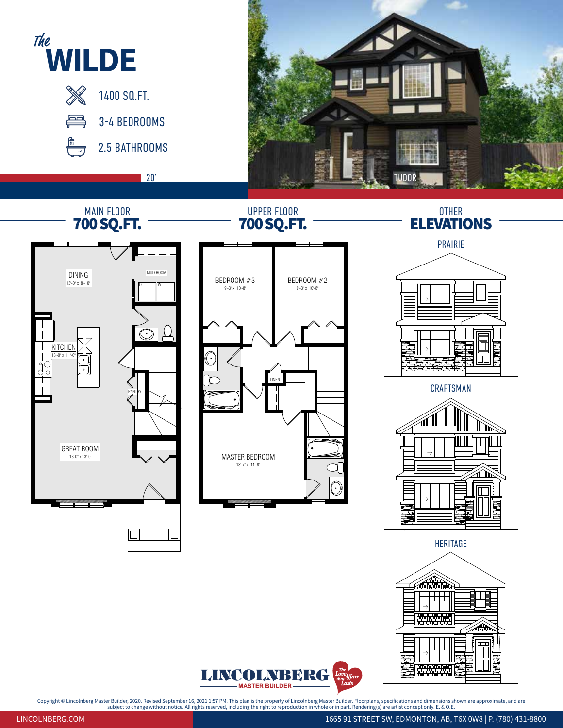

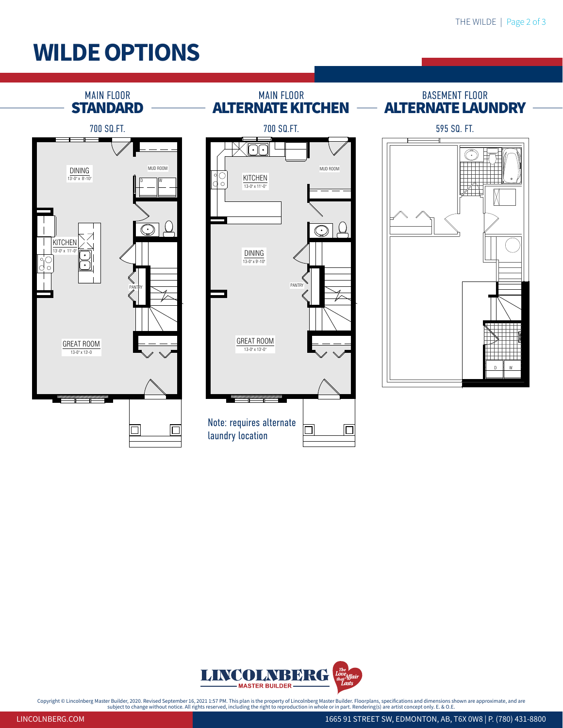## **WILDE OPTIONS**





Copyright © Lincolnberg Master Builder, 2020. Revised September 16, 2021 1:57 PM. This plan is the property of Lincolnberg Master Builder. Floorplans, specifications and dimensions shown are approximate, and are<br>subject on